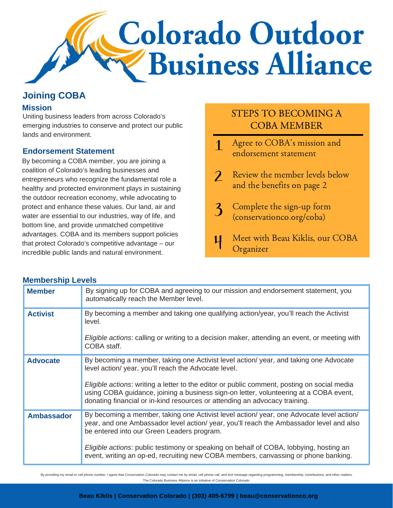

## **Joining COBA**

#### **Mission**

Uniting business leaders from across Colorado's emerging industries to conserve and protect our public lands and environment.

#### **Endorsement Statement**

By becoming a COBA member, you are joining a coalition of Colorado's leading businesses and entrepreneurs who recognize the fundamental role a healthy and protected environment plays in sustaining the outdoor recreation economy, while advocating to protect and enhance these values. Our land, air and water are essential to our industries, way of life, and bottom line, and provide unmatched competitive advantages. COBA and its members support policies that protect Colorado's competitive advantage – our incredible public lands and natural environment.

# STEPS TO BECOMING A COBA MEMBER

- Agree to COBA's mission and  $\mathbf 1$ endorsement statement
- $\overline{2}$ Review the member levels below and the benefits on page 2
- $\overline{\mathbf{3}}$ Complete the sign-up form (conservationco.org/coba)
- Meet with Beau Kiklis, our COBA 11 **Organizer**

| <b>INICITINGI SITIN FEACIS</b> |                                                                                                                                                                                                                                                                                                                                                                                                                     |  |  |  |  |
|--------------------------------|---------------------------------------------------------------------------------------------------------------------------------------------------------------------------------------------------------------------------------------------------------------------------------------------------------------------------------------------------------------------------------------------------------------------|--|--|--|--|
| <b>Member</b>                  | By signing up for COBA and agreeing to our mission and endorsement statement, you<br>automatically reach the Member level.                                                                                                                                                                                                                                                                                          |  |  |  |  |
| <b>Activist</b>                | By becoming a member and taking one qualifying action/year, you'll reach the Activist<br>level.<br>Eligible actions: calling or writing to a decision maker, attending an event, or meeting with<br>COBA staff.                                                                                                                                                                                                     |  |  |  |  |
| <b>Advocate</b>                | By becoming a member, taking one Activist level action/ year, and taking one Advocate<br>level action/ year, you'll reach the Advocate level.<br>Eligible actions: writing a letter to the editor or public comment, posting on social media<br>using COBA guidance, joining a business sign-on letter, volunteering at a COBA event,<br>donating financial or in-kind resources or attending an advocacy training. |  |  |  |  |
| <b>Ambassador</b>              | By becoming a member, taking one Activist level action/ year, one Advocate level action/<br>year, and one Ambassador level action/ year, you'll reach the Ambassador level and also<br>be entered into our Green Leaders program.<br>Eligible actions: public testimony or speaking on behalf of COBA, lobbying, hosting an<br>event, writing an op-ed, recruiting new COBA members, canvassing or phone banking.   |  |  |  |  |

By providing my email or cell phone number, Lagree that Conservation Colorado may contact me by email, cell phone call, and text message regarding programming, membership, contributions, and other matters. The Colorado Business Alliance is an initiative of Conservation Colorado

### **Membership Levels**